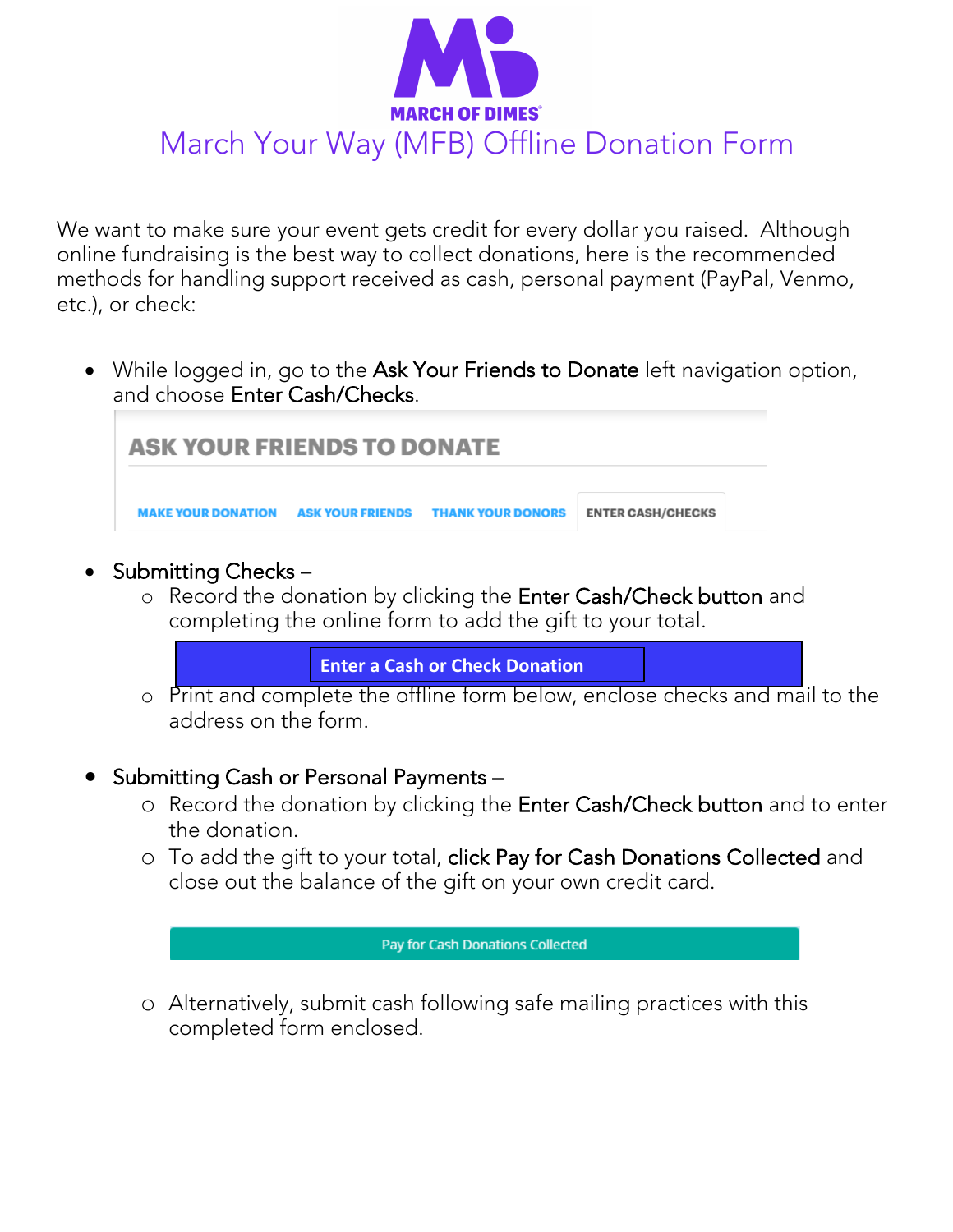

We want to make sure your event gets credit for every dollar you raised. Although online fundraising is the best way to collect donations, here is the recommended methods for handling support received as cash, personal payment (PayPal, Venmo, etc.), or check:

• While logged in, go to the Ask Your Friends to Donate left navigation option, and choose Enter Cash/Checks.

| <b>ASK YOUR FRIENDS TO DONATE</b> |  |                                                              |                          |
|-----------------------------------|--|--------------------------------------------------------------|--------------------------|
|                                   |  | <b>MAKE YOUR DONATION ASK YOUR FRIENDS THANK YOUR DONORS</b> | <b>ENTER CASH/CHECKS</b> |

- Submitting Checks
	- o Record the donation by clicking the Enter Cash/Check button and completing the online form to add the gift to your total.

**Enter a Cash or Check Donation**

- o Print and complete the offline form below, enclose checks and mail to the address on the form.
- Submitting Cash or Personal Payments
	- o Record the donation by clicking the Enter Cash/Check button and to enter the donation.
	- o To add the gift to your total, click Pay for Cash Donations Collected and close out the balance of the gift on your own credit card.

## **Pay for Cash Donations Collected**

o Alternatively, submit cash following safe mailing practices with this completed form enclosed.